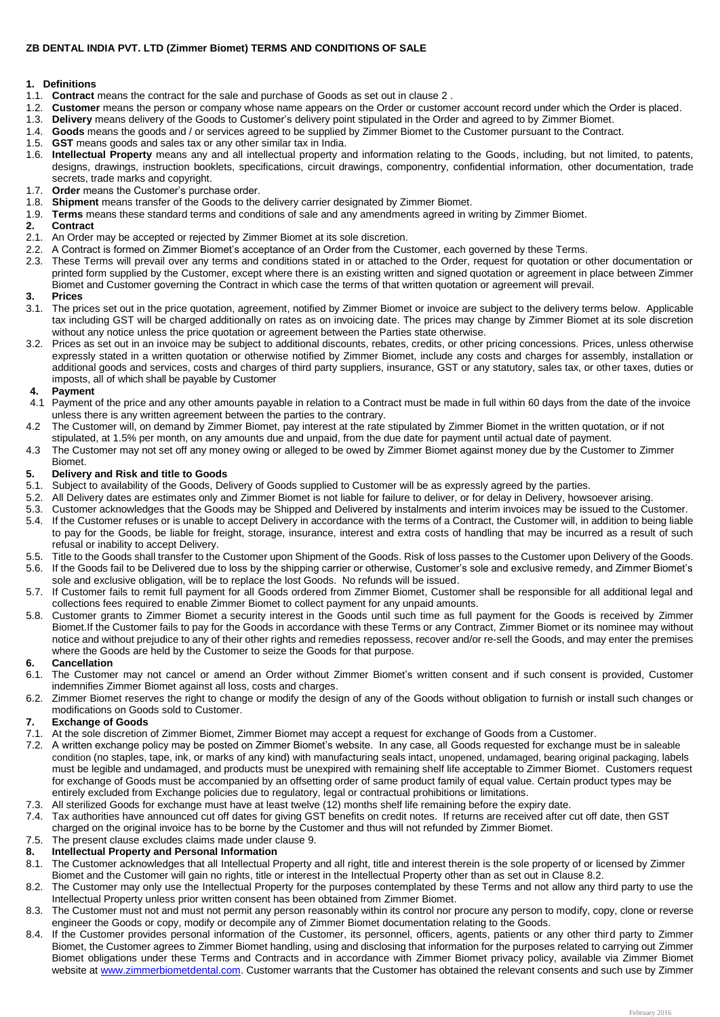# **ZB DENTAL INDIA PVT. LTD (Zimmer Biomet) TERMS AND CONDITIONS OF SALE**

## **1. Definitions**

- 1.1. **Contract** means the contract for the sale and purchase of Goods as set out in clause 2 .
- 1.2. **Customer** means the person or company whose name appears on the Order or customer account record under which the Order is placed.
- 1.3. **Delivery** means delivery of the Goods to Customer's delivery point stipulated in the Order and agreed to by Zimmer Biomet.
- 1.4. **Goods** means the goods and / or services agreed to be supplied by Zimmer Biomet to the Customer pursuant to the Contract.
- 1.5. **GST** means goods and sales tax or any other similar tax in India.
- 1.6. **Intellectual Property** means any and all intellectual property and information relating to the Goods, including, but not limited, to patents, designs, drawings, instruction booklets, specifications, circuit drawings, componentry, confidential information, other documentation, trade secrets, trade marks and copyright.
- 1.7. **Order** means the Customer's purchase order.
- 1.8. **Shipment** means transfer of the Goods to the delivery carrier designated by Zimmer Biomet.
- 1.9. **Terms** means these standard terms and conditions of sale and any amendments agreed in writing by Zimmer Biomet.

#### **2. Contract**

- 2.1. An Order may be accepted or rejected by Zimmer Biomet at its sole discretion.
- 2.2. A Contract is formed on Zimmer Biomet's acceptance of an Order from the Customer, each governed by these Terms.
- 2.3. These Terms will prevail over any terms and conditions stated in or attached to the Order, request for quotation or other documentation or printed form supplied by the Customer, except where there is an existing written and signed quotation or agreement in place between Zimmer Biomet and Customer governing the Contract in which case the terms of that written quotation or agreement will prevail.

#### **3. Prices**

- 3.1. The prices set out in the price quotation, agreement, notified by Zimmer Biomet or invoice are subject to the delivery terms below. Applicable tax including GST will be charged additionally on rates as on invoicing date. The prices may change by Zimmer Biomet at its sole discretion without any notice unless the price quotation or agreement between the Parties state otherwise.
- 3.2. Prices as set out in an invoice may be subject to additional discounts, rebates, credits, or other pricing concessions. Prices, unless otherwise expressly stated in a written quotation or otherwise notified by Zimmer Biomet, include any costs and charges for assembly, installation or additional goods and services, costs and charges of third party suppliers, insurance, GST or any statutory, sales tax, or other taxes, duties or imposts, all of which shall be payable by Customer

#### **4. Payment**

- 4.1 Payment of the price and any other amounts payable in relation to a Contract must be made in full within 60 days from the date of the invoice unless there is any written agreement between the parties to the contrary.
- 4.2 The Customer will, on demand by Zimmer Biomet, pay interest at the rate stipulated by Zimmer Biomet in the written quotation, or if not stipulated, at 1.5% per month, on any amounts due and unpaid, from the due date for payment until actual date of payment.
- 4.3 The Customer may not set off any money owing or alleged to be owed by Zimmer Biomet against money due by the Customer to Zimmer **Biomet**

### **5. Delivery and Risk and title to Goods**

- 5.1. Subject to availability of the Goods, Delivery of Goods supplied to Customer will be as expressly agreed by the parties.
- 5.2. All Delivery dates are estimates only and Zimmer Biomet is not liable for failure to deliver, or for delay in Delivery, howsoever arising.<br>5.3. Customer acknowledges that the Goods may be Shipped and Delivered by inst
- 5.3. Customer acknowledges that the Goods may be Shipped and Delivered by instalments and interim invoices may be issued to the Customer.
- 5.4. If the Customer refuses or is unable to accept Delivery in accordance with the terms of a Contract, the Customer will, in addition to being liable to pay for the Goods, be liable for freight, storage, insurance, interest and extra costs of handling that may be incurred as a result of such refusal or inability to accept Delivery.
- 5.5. Title to the Goods shall transfer to the Customer upon Shipment of the Goods. Risk of loss passes to the Customer upon Delivery of the Goods.
- 5.6. If the Goods fail to be Delivered due to loss by the shipping carrier or otherwise, Customer's sole and exclusive remedy, and Zimmer Biomet's sole and exclusive obligation, will be to replace the lost Goods. No refunds will be issued.
- 5.7. If Customer fails to remit full payment for all Goods ordered from Zimmer Biomet, Customer shall be responsible for all additional legal and collections fees required to enable Zimmer Biomet to collect payment for any unpaid amounts.
- 5.8. Customer grants to Zimmer Biomet a security interest in the Goods until such time as full payment for the Goods is received by Zimmer Biomet.If the Customer fails to pay for the Goods in accordance with these Terms or any Contract, Zimmer Biomet or its nominee may without notice and without prejudice to any of their other rights and remedies repossess, recover and/or re-sell the Goods, and may enter the premises where the Goods are held by the Customer to seize the Goods for that purpose.

### **6. Cancellation**

- 6.1. The Customer may not cancel or amend an Order without Zimmer Biomet's written consent and if such consent is provided, Customer indemnifies Zimmer Biomet against all loss, costs and charges.
- 6.2. Zimmer Biomet reserves the right to change or modify the design of any of the Goods without obligation to furnish or install such changes or modifications on Goods sold to Customer.

## **7. Exchange of Goods**

- 7.1. At the sole discretion of Zimmer Biomet, Zimmer Biomet may accept a request for exchange of Goods from a Customer.
- 7.2. A written exchange policy may be posted on Zimmer Biomet's website. In any case, all Goods requested for exchange must be in saleable condition (no staples, tape, ink, or marks of any kind) with manufacturing seals intact, unopened, undamaged, bearing original packaging, labels must be legible and undamaged, and products must be unexpired with remaining shelf life acceptable to Zimmer Biomet. Customers request for exchange of Goods must be accompanied by an offsetting order of same product family of equal value. Certain product types may be entirely excluded from Exchange policies due to regulatory, legal or contractual prohibitions or limitations.
- 7.3. All sterilized Goods for exchange must have at least twelve (12) months shelf life remaining before the expiry date.
- 7.4. Tax authorities have announced cut off dates for giving GST benefits on credit notes. If returns are received after cut off date, then GST charged on the original invoice has to be borne by the Customer and thus will not refunded by Zimmer Biomet.
- 7.5. The present clause excludes claims made under clause 9.

# **8. Intellectual Property and Personal Information**

- 8.1. The Customer acknowledges that all Intellectual Property and all right, title and interest therein is the sole property of or licensed by Zimmer Biomet and the Customer will gain no rights, title or interest in the Intellectual Property other than as set out in Clause 8.2.
- 8.2. The Customer may only use the Intellectual Property for the purposes contemplated by these Terms and not allow any third party to use the Intellectual Property unless prior written consent has been obtained from Zimmer Biomet.
- 8.3. The Customer must not and must not permit any person reasonably within its control nor procure any person to modify, copy, clone or reverse engineer the Goods or copy, modify or decompile any of Zimmer Biomet documentation relating to the Goods.
- 8.4. If the Customer provides personal information of the Customer, its personnel, officers, agents, patients or any other third party to Zimmer Biomet, the Customer agrees to Zimmer Biomet handling, using and disclosing that information for the purposes related to carrying out Zimmer Biomet obligations under these Terms and Contracts and in accordance with Zimmer Biomet privacy policy, available via Zimmer Biomet website a[t www.zimmerbiometdental.com.](file:///C:/Users/tutejas/AppData/Local/Microsoft/Windows/INetCache/Content.Outlook/8TRV13KL/www.zimmerbiometdental.com) Customer warrants that the Customer has obtained the relevant consents and such use by Zimmer